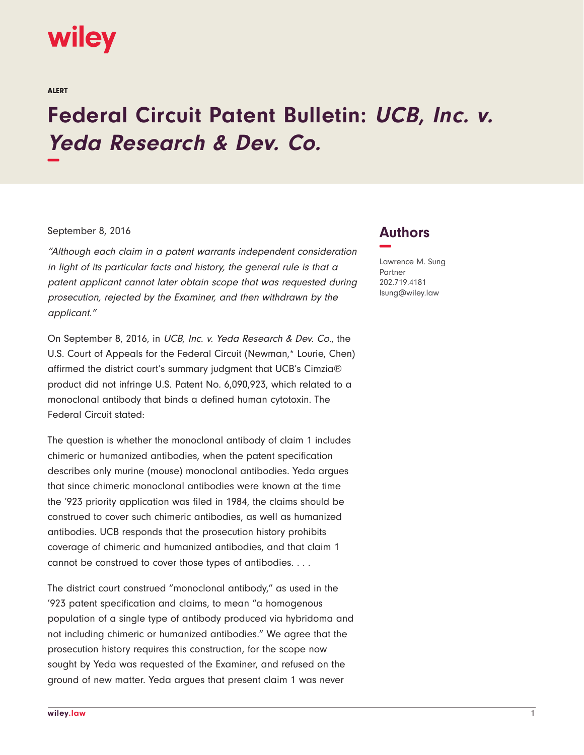

ALERT

## **Federal Circuit Patent Bulletin: UCB, Inc. v. Yeda Research & Dev. Co. −**

## September 8, 2016

"Although each claim in a patent warrants independent consideration in light of its particular facts and history, the general rule is that a patent applicant cannot later obtain scope that was requested during prosecution, rejected by the Examiner, and then withdrawn by the applicant."

On September 8, 2016, in UCB, Inc. v. Yeda Research & Dev. Co., the U.S. Court of Appeals for the Federal Circuit (Newman,\* Lourie, Chen) affirmed the district court's summary judgment that UCB's Cimzia® product did not infringe U.S. Patent No. 6,090,923, which related to a monoclonal antibody that binds a defined human cytotoxin. The Federal Circuit stated:

The question is whether the monoclonal antibody of claim 1 includes chimeric or humanized antibodies, when the patent specification describes only murine (mouse) monoclonal antibodies. Yeda argues that since chimeric monoclonal antibodies were known at the time the '923 priority application was filed in 1984, the claims should be construed to cover such chimeric antibodies, as well as humanized antibodies. UCB responds that the prosecution history prohibits coverage of chimeric and humanized antibodies, and that claim 1 cannot be construed to cover those types of antibodies. . . .

The district court construed "monoclonal antibody," as used in the '923 patent specification and claims, to mean "a homogenous population of a single type of antibody produced via hybridoma and not including chimeric or humanized antibodies." We agree that the prosecution history requires this construction, for the scope now sought by Yeda was requested of the Examiner, and refused on the ground of new matter. Yeda argues that present claim 1 was never

## **Authors −**

Lawrence M. Sung Partner 202.719.4181 lsung@wiley.law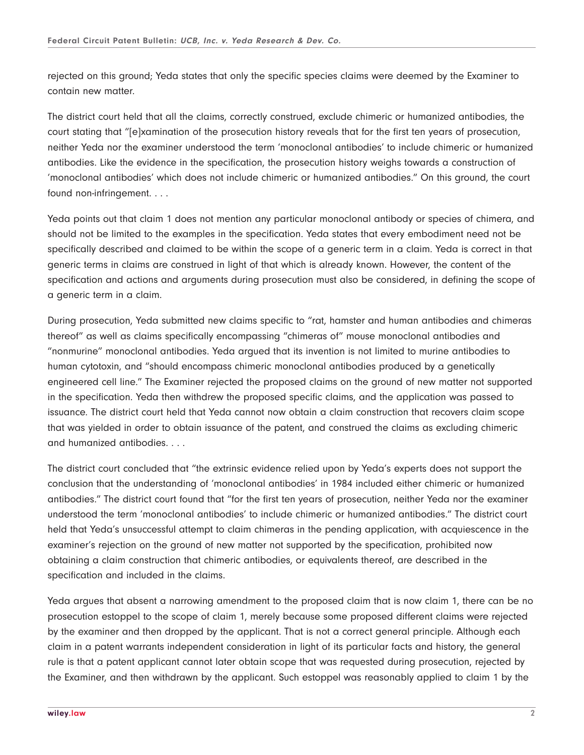rejected on this ground; Yeda states that only the specific species claims were deemed by the Examiner to contain new matter.

The district court held that all the claims, correctly construed, exclude chimeric or humanized antibodies, the court stating that "[e]xamination of the prosecution history reveals that for the first ten years of prosecution, neither Yeda nor the examiner understood the term 'monoclonal antibodies' to include chimeric or humanized antibodies. Like the evidence in the specification, the prosecution history weighs towards a construction of 'monoclonal antibodies' which does not include chimeric or humanized antibodies." On this ground, the court found non-infringement. . . .

Yeda points out that claim 1 does not mention any particular monoclonal antibody or species of chimera, and should not be limited to the examples in the specification. Yeda states that every embodiment need not be specifically described and claimed to be within the scope of a generic term in a claim. Yeda is correct in that generic terms in claims are construed in light of that which is already known. However, the content of the specification and actions and arguments during prosecution must also be considered, in defining the scope of a generic term in a claim.

During prosecution, Yeda submitted new claims specific to "rat, hamster and human antibodies and chimeras thereof" as well as claims specifically encompassing "chimeras of" mouse monoclonal antibodies and "nonmurine" monoclonal antibodies. Yeda argued that its invention is not limited to murine antibodies to human cytotoxin, and "should encompass chimeric monoclonal antibodies produced by a genetically engineered cell line." The Examiner rejected the proposed claims on the ground of new matter not supported in the specification. Yeda then withdrew the proposed specific claims, and the application was passed to issuance. The district court held that Yeda cannot now obtain a claim construction that recovers claim scope that was yielded in order to obtain issuance of the patent, and construed the claims as excluding chimeric and humanized antibodies. . . .

The district court concluded that "the extrinsic evidence relied upon by Yeda's experts does not support the conclusion that the understanding of 'monoclonal antibodies' in 1984 included either chimeric or humanized antibodies." The district court found that "for the first ten years of prosecution, neither Yeda nor the examiner understood the term 'monoclonal antibodies' to include chimeric or humanized antibodies." The district court held that Yeda's unsuccessful attempt to claim chimeras in the pending application, with acquiescence in the examiner's rejection on the ground of new matter not supported by the specification, prohibited now obtaining a claim construction that chimeric antibodies, or equivalents thereof, are described in the specification and included in the claims.

Yeda argues that absent a narrowing amendment to the proposed claim that is now claim 1, there can be no prosecution estoppel to the scope of claim 1, merely because some proposed different claims were rejected by the examiner and then dropped by the applicant. That is not a correct general principle. Although each claim in a patent warrants independent consideration in light of its particular facts and history, the general rule is that a patent applicant cannot later obtain scope that was requested during prosecution, rejected by the Examiner, and then withdrawn by the applicant. Such estoppel was reasonably applied to claim 1 by the